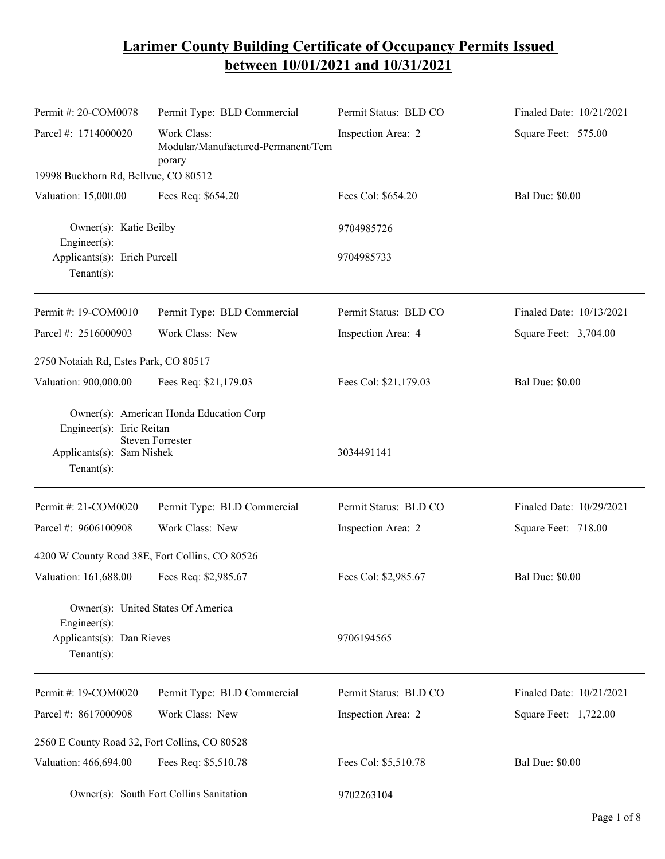## **Larimer County Building Certificate of Occupancy Permits Issued between 10/01/2021 and 10/31/2021**

| Permit #: 20-COM0078                                                   | Permit Type: BLD Commercial                                        | Permit Status: BLD CO | Finaled Date: 10/21/2021 |
|------------------------------------------------------------------------|--------------------------------------------------------------------|-----------------------|--------------------------|
| Parcel #: 1714000020                                                   | Work Class:<br>Modular/Manufactured-Permanent/Tem<br>porary        | Inspection Area: 2    | Square Feet: 575.00      |
| 19998 Buckhorn Rd, Bellvue, CO 80512                                   |                                                                    |                       |                          |
| Valuation: 15,000.00                                                   | Fees Req: \$654.20                                                 | Fees Col: \$654.20    | <b>Bal Due: \$0.00</b>   |
| Owner(s): Katie Beilby<br>Engineer(s):                                 |                                                                    | 9704985726            |                          |
| Applicants(s): Erich Purcell<br>Tenant $(s)$ :                         |                                                                    | 9704985733            |                          |
| Permit #: 19-COM0010                                                   | Permit Type: BLD Commercial                                        | Permit Status: BLD CO | Finaled Date: 10/13/2021 |
| Parcel #: 2516000903                                                   | Work Class: New                                                    | Inspection Area: 4    | Square Feet: 3,704.00    |
| 2750 Notaiah Rd, Estes Park, CO 80517                                  |                                                                    |                       |                          |
| Valuation: 900,000.00                                                  | Fees Req: \$21,179.03                                              | Fees Col: \$21,179.03 | <b>Bal Due: \$0.00</b>   |
| Engineer(s): Eric Reitan<br>Applicants(s): Sam Nishek<br>$Tenant(s)$ : | Owner(s): American Honda Education Corp<br><b>Steven Forrester</b> | 3034491141            |                          |
| Permit #: 21-COM0020                                                   | Permit Type: BLD Commercial                                        | Permit Status: BLD CO | Finaled Date: 10/29/2021 |
| Parcel #: 9606100908                                                   | Work Class: New                                                    | Inspection Area: 2    | Square Feet: 718.00      |
| 4200 W County Road 38E, Fort Collins, CO 80526                         |                                                                    |                       |                          |
| Valuation: 161,688.00                                                  | Fees Req: \$2,985.67                                               | Fees Col: \$2,985.67  | <b>Bal Due: \$0.00</b>   |
| Engineer $(s)$ :<br>Applicants(s): Dan Rieves<br>$Tenant(s)$ :         | Owner(s): United States Of America                                 | 9706194565            |                          |
| Permit #: 19-COM0020                                                   | Permit Type: BLD Commercial                                        | Permit Status: BLD CO | Finaled Date: 10/21/2021 |
| Parcel #: 8617000908                                                   | Work Class: New                                                    | Inspection Area: 2    | Square Feet: 1,722.00    |
| 2560 E County Road 32, Fort Collins, CO 80528                          |                                                                    |                       |                          |
| Valuation: 466,694.00                                                  | Fees Req: \$5,510.78                                               | Fees Col: \$5,510.78  | <b>Bal Due: \$0.00</b>   |
| Owner(s): South Fort Collins Sanitation                                |                                                                    | 9702263104            |                          |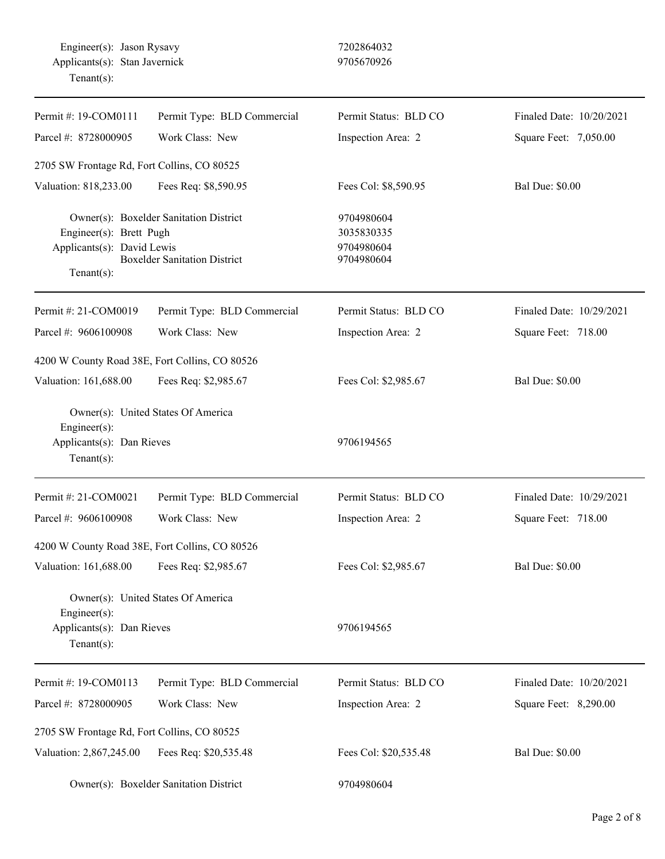| Permit #: 19-COM0111                                                   | Permit Type: BLD Commercial                                                   | Permit Status: BLD CO                                | Finaled Date: 10/20/2021 |
|------------------------------------------------------------------------|-------------------------------------------------------------------------------|------------------------------------------------------|--------------------------|
| Parcel #: 8728000905                                                   | Work Class: New                                                               | Inspection Area: 2                                   | Square Feet: 7,050.00    |
| 2705 SW Frontage Rd, Fort Collins, CO 80525                            |                                                                               |                                                      |                          |
| Valuation: 818,233.00                                                  | Fees Req: \$8,590.95                                                          | Fees Col: \$8,590.95                                 | <b>Bal Due: \$0.00</b>   |
| Engineer(s): Brett Pugh<br>Applicants(s): David Lewis<br>$Tenant(s)$ : | Owner(s): Boxelder Sanitation District<br><b>Boxelder Sanitation District</b> | 9704980604<br>3035830335<br>9704980604<br>9704980604 |                          |
| Permit #: 21-COM0019                                                   | Permit Type: BLD Commercial                                                   | Permit Status: BLD CO                                | Finaled Date: 10/29/2021 |
| Parcel #: 9606100908                                                   | Work Class: New                                                               | Inspection Area: 2                                   | Square Feet: 718.00      |
| 4200 W County Road 38E, Fort Collins, CO 80526                         |                                                                               |                                                      |                          |
| Valuation: 161,688.00                                                  | Fees Req: \$2,985.67                                                          | Fees Col: \$2,985.67                                 | <b>Bal Due: \$0.00</b>   |
| Engineer(s):<br>Applicants(s): Dan Rieves<br>Tenant $(s)$ :            | Owner(s): United States Of America                                            | 9706194565                                           |                          |
| Permit #: 21-COM0021                                                   | Permit Type: BLD Commercial                                                   | Permit Status: BLD CO                                | Finaled Date: 10/29/2021 |
| Parcel #: 9606100908                                                   | Work Class: New                                                               | Inspection Area: 2                                   | Square Feet: 718.00      |
| 4200 W County Road 38E, Fort Collins, CO 80526                         |                                                                               |                                                      |                          |
| Valuation: 161,688.00                                                  | Fees Req: \$2,985.67                                                          | Fees Col: \$2,985.67                                 | <b>Bal Due: \$0.00</b>   |
| Engineer(s):<br>Applicants(s): Dan Rieves<br>Tenant $(s)$ :            | Owner(s): United States Of America                                            | 9706194565                                           |                          |
| Permit #: 19-COM0113                                                   | Permit Type: BLD Commercial                                                   | Permit Status: BLD CO                                | Finaled Date: 10/20/2021 |
| Parcel #: 8728000905                                                   | Work Class: New                                                               | Inspection Area: 2                                   | Square Feet: 8,290.00    |
| 2705 SW Frontage Rd, Fort Collins, CO 80525                            |                                                                               |                                                      |                          |
| Valuation: 2,867,245.00                                                | Fees Req: \$20,535.48                                                         | Fees Col: \$20,535.48                                | <b>Bal Due: \$0.00</b>   |
| Owner(s): Boxelder Sanitation District                                 |                                                                               | 9704980604                                           |                          |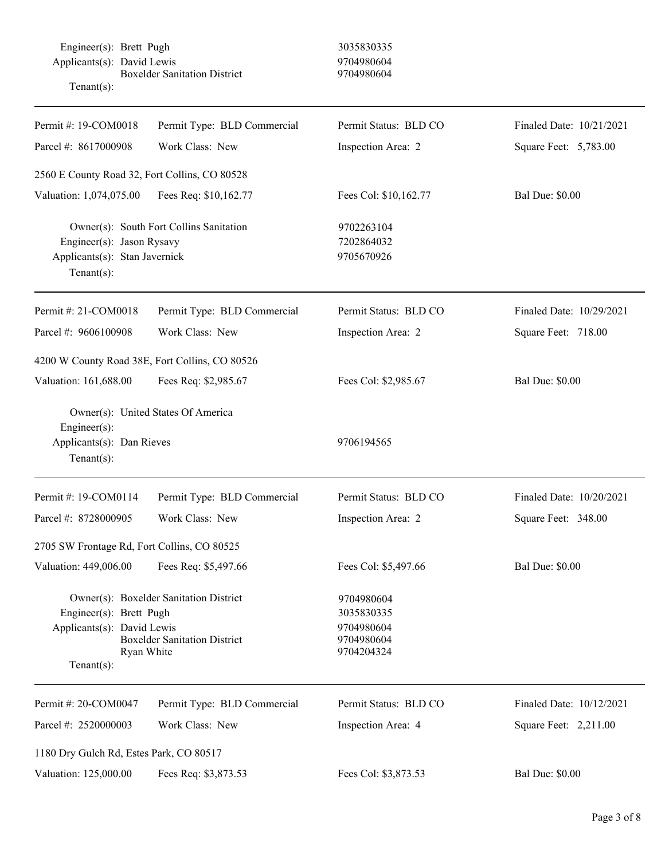Engineer(s): Brett Pugh 3035830335 Applicants(s): David Lewis 9704980604 Boxelder Sanitation District 9704980604 Tenant(s):

| Permit #: 19-COM0018                                                                 | Permit Type: BLD Commercial                                                   | Permit Status: BLD CO                                              | Finaled Date: 10/21/2021 |
|--------------------------------------------------------------------------------------|-------------------------------------------------------------------------------|--------------------------------------------------------------------|--------------------------|
| Parcel #: 8617000908                                                                 | Work Class: New                                                               |                                                                    | Square Feet: 5,783.00    |
|                                                                                      |                                                                               | Inspection Area: 2                                                 |                          |
| 2560 E County Road 32, Fort Collins, CO 80528                                        |                                                                               |                                                                    |                          |
| Valuation: 1,074,075.00                                                              | Fees Req: \$10,162.77                                                         | Fees Col: \$10,162.77                                              | <b>Bal Due: \$0.00</b>   |
| Engineer(s): Jason Rysavy<br>Applicants(s): Stan Javernick<br>$Tenant(s)$ :          | Owner(s): South Fort Collins Sanitation                                       | 9702263104<br>7202864032<br>9705670926                             |                          |
| Permit #: 21-COM0018                                                                 | Permit Type: BLD Commercial                                                   | Permit Status: BLD CO                                              | Finaled Date: 10/29/2021 |
| Parcel #: 9606100908                                                                 | Work Class: New                                                               | Inspection Area: 2                                                 | Square Feet: 718.00      |
| 4200 W County Road 38E, Fort Collins, CO 80526                                       |                                                                               |                                                                    |                          |
| Valuation: 161,688.00                                                                | Fees Req: \$2,985.67                                                          | Fees Col: \$2,985.67                                               | <b>Bal Due: \$0.00</b>   |
| Engineer(s):<br>Applicants(s): Dan Rieves<br>$Tenant(s)$ :                           | Owner(s): United States Of America                                            | 9706194565                                                         |                          |
| Permit #: 19-COM0114                                                                 | Permit Type: BLD Commercial                                                   | Permit Status: BLD CO                                              | Finaled Date: 10/20/2021 |
| Parcel #: 8728000905                                                                 | Work Class: New                                                               | Inspection Area: 2                                                 | Square Feet: 348.00      |
| 2705 SW Frontage Rd, Fort Collins, CO 80525                                          |                                                                               |                                                                    |                          |
| Valuation: 449,006.00                                                                | Fees Req: \$5,497.66                                                          | Fees Col: \$5,497.66                                               | <b>Bal Due: \$0.00</b>   |
| Engineer(s): Brett Pugh<br>Applicants(s): David Lewis<br>Ryan White<br>$Tenant(s)$ : | Owner(s): Boxelder Sanitation District<br><b>Boxelder Sanitation District</b> | 9704980604<br>3035830335<br>9704980604<br>9704980604<br>9704204324 |                          |
| Permit #: 20-COM0047                                                                 | Permit Type: BLD Commercial                                                   | Permit Status: BLD CO                                              | Finaled Date: 10/12/2021 |
| Parcel #: 2520000003                                                                 | Work Class: New                                                               | Inspection Area: 4                                                 | Square Feet: 2,211.00    |
| 1180 Dry Gulch Rd, Estes Park, CO 80517                                              |                                                                               |                                                                    |                          |
| Valuation: 125,000.00                                                                | Fees Req: \$3,873.53                                                          | Fees Col: \$3,873.53                                               | <b>Bal Due: \$0.00</b>   |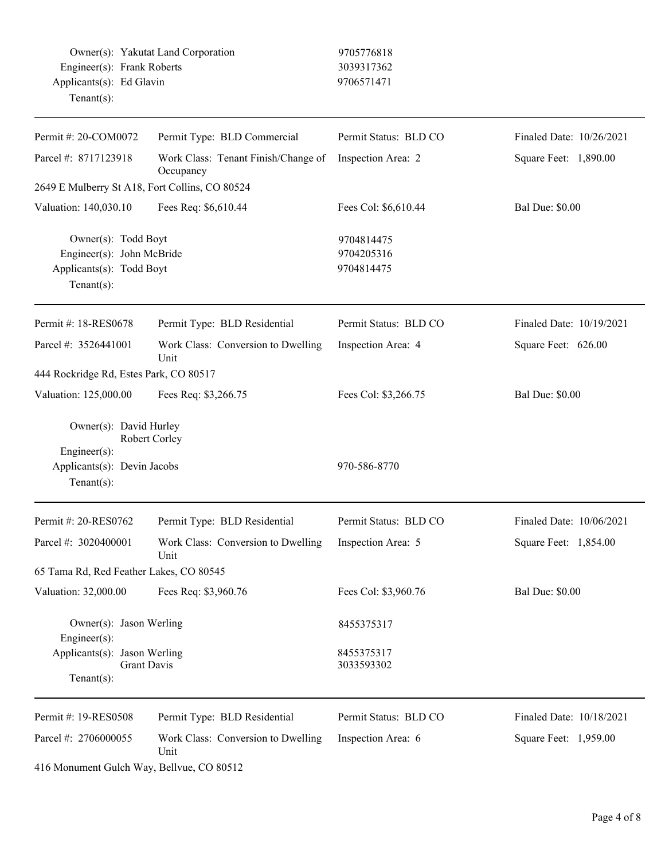Owner(s): Yakutat Land Corporation 9705776818 Engineer(s): Frank Roberts 3039317362 Applicants(s): Ed Glavin 9706571471 Tenant(s):

| Permit #: 20-COM0072                                                                          | Permit Type: BLD Commercial                      | Permit Status: BLD CO                  | Finaled Date: 10/26/2021 |
|-----------------------------------------------------------------------------------------------|--------------------------------------------------|----------------------------------------|--------------------------|
| Parcel #: 8717123918                                                                          | Work Class: Tenant Finish/Change of<br>Occupancy | Inspection Area: 2                     | Square Feet: 1,890.00    |
| 2649 E Mulberry St A18, Fort Collins, CO 80524                                                |                                                  |                                        |                          |
| Valuation: 140,030.10                                                                         | Fees Req: \$6,610.44                             | Fees Col: \$6,610.44                   | <b>Bal Due: \$0.00</b>   |
| Owner(s): Todd Boyt<br>Engineer(s): John McBride<br>Applicants(s): Todd Boyt<br>$Tenant(s)$ : |                                                  | 9704814475<br>9704205316<br>9704814475 |                          |
| Permit #: 18-RES0678                                                                          | Permit Type: BLD Residential                     | Permit Status: BLD CO                  | Finaled Date: 10/19/2021 |
| Parcel #: 3526441001                                                                          | Work Class: Conversion to Dwelling<br>Unit       | Inspection Area: 4                     | Square Feet: 626.00      |
| 444 Rockridge Rd, Estes Park, CO 80517                                                        |                                                  |                                        |                          |
| Valuation: 125,000.00                                                                         | Fees Req: \$3,266.75                             | Fees Col: \$3,266.75                   | <b>Bal Due: \$0.00</b>   |
| Owner(s): David Hurley<br>Engineer(s):                                                        | Robert Corley                                    |                                        |                          |
| Applicants(s): Devin Jacobs<br>$Tenant(s)$ :                                                  |                                                  | 970-586-8770                           |                          |
| Permit #: 20-RES0762                                                                          | Permit Type: BLD Residential                     | Permit Status: BLD CO                  | Finaled Date: 10/06/2021 |
| Parcel #: 3020400001                                                                          | Work Class: Conversion to Dwelling<br>Unit       | Inspection Area: 5                     | Square Feet: 1,854.00    |
| 65 Tama Rd, Red Feather Lakes, CO 80545                                                       |                                                  |                                        |                          |
| Valuation: 32,000.00                                                                          | Fees Req: \$3,960.76                             | Fees Col: \$3,960.76                   | <b>Bal Due: \$0.00</b>   |
| Owner(s): Jason Werling<br>Engineer(s):                                                       |                                                  | 8455375317                             |                          |
| Applicants(s): Jason Werling<br>$Tenant(s)$ :                                                 | <b>Grant Davis</b>                               | 8455375317<br>3033593302               |                          |
| Permit #: 19-RES0508                                                                          | Permit Type: BLD Residential                     | Permit Status: BLD CO                  | Finaled Date: 10/18/2021 |
| Parcel #: 2706000055                                                                          | Work Class: Conversion to Dwelling<br>Unit       | Inspection Area: 6                     | Square Feet: 1,959.00    |

416 Monument Gulch Way, Bellvue, CO 80512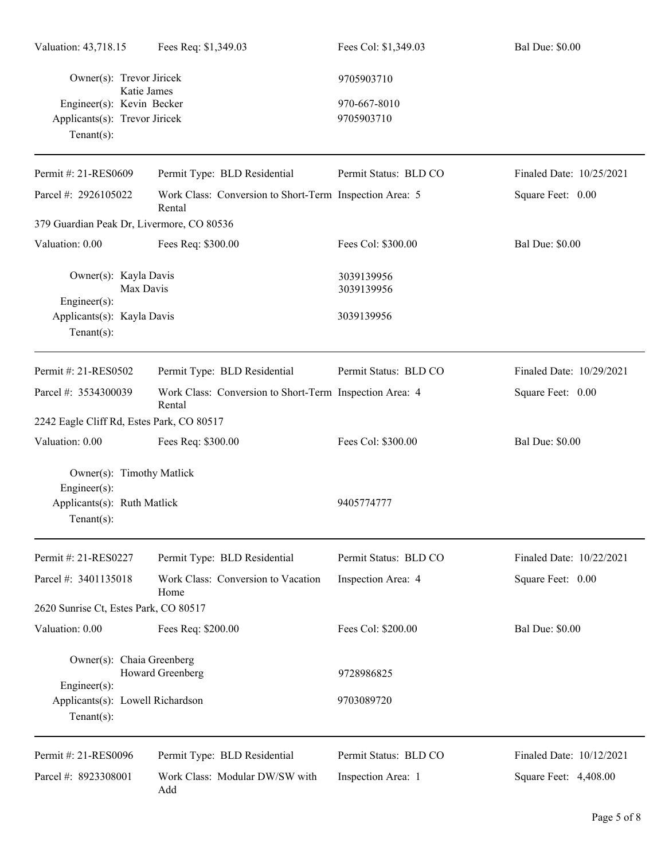| Valuation: 43,718.15                                                                            | Fees Req: \$1,349.03                                              | Fees Col: \$1,349.03       | <b>Bal Due: \$0.00</b>   |
|-------------------------------------------------------------------------------------------------|-------------------------------------------------------------------|----------------------------|--------------------------|
| Owner(s): Trevor Jiricek<br>Katie James                                                         |                                                                   | 9705903710                 |                          |
| Engineer(s): Kevin Becker<br>Applicants(s): Trevor Jiricek<br>Tenant $(s)$ :                    |                                                                   | 970-667-8010<br>9705903710 |                          |
| Permit #: 21-RES0609                                                                            | Permit Type: BLD Residential                                      | Permit Status: BLD CO      | Finaled Date: 10/25/2021 |
| Parcel #: 2926105022                                                                            | Work Class: Conversion to Short-Term Inspection Area: 5<br>Rental |                            | Square Feet: 0.00        |
| 379 Guardian Peak Dr, Livermore, CO 80536                                                       |                                                                   |                            |                          |
| Valuation: 0.00                                                                                 | Fees Req: \$300.00                                                | Fees Col: \$300.00         | <b>Bal Due: \$0.00</b>   |
| Owner(s): Kayla Davis<br>Max Davis                                                              |                                                                   | 3039139956<br>3039139956   |                          |
| $Engineering(s)$ :<br>Applicants(s): Kayla Davis<br>Tenant $(s)$ :                              |                                                                   | 3039139956                 |                          |
| Permit #: 21-RES0502                                                                            | Permit Type: BLD Residential                                      | Permit Status: BLD CO      | Finaled Date: 10/29/2021 |
| Parcel #: 3534300039                                                                            | Work Class: Conversion to Short-Term Inspection Area: 4<br>Rental |                            | Square Feet: 0.00        |
| 2242 Eagle Cliff Rd, Estes Park, CO 80517                                                       |                                                                   |                            |                          |
| Valuation: 0.00                                                                                 | Fees Req: \$300.00                                                | Fees Col: \$300.00         | <b>Bal Due: \$0.00</b>   |
| Owner(s): Timothy Matlick<br>$Engineering(s)$ :<br>Applicants(s): Ruth Matlick<br>$Tenant(s)$ : |                                                                   | 9405774777                 |                          |
| Permit #: 21-RES0227                                                                            | Permit Type: BLD Residential                                      | Permit Status: BLD CO      | Finaled Date: 10/22/2021 |
| Parcel #: 3401135018                                                                            | Work Class: Conversion to Vacation<br>Home                        | Inspection Area: 4         | Square Feet: 0.00        |
| 2620 Sunrise Ct, Estes Park, CO 80517                                                           |                                                                   |                            |                          |
| Valuation: 0.00                                                                                 | Fees Req: \$200.00                                                | Fees Col: \$200.00         | <b>Bal Due: \$0.00</b>   |
| Owner(s): Chaia Greenberg                                                                       | Howard Greenberg                                                  | 9728986825                 |                          |
| Engineer(s):<br>Applicants(s): Lowell Richardson<br>$Tenant(s)$ :                               |                                                                   | 9703089720                 |                          |
| Permit #: 21-RES0096                                                                            | Permit Type: BLD Residential                                      | Permit Status: BLD CO      | Finaled Date: 10/12/2021 |
| Parcel #: 8923308001                                                                            | Work Class: Modular DW/SW with<br>Add                             | Inspection Area: 1         | Square Feet: 4,408.00    |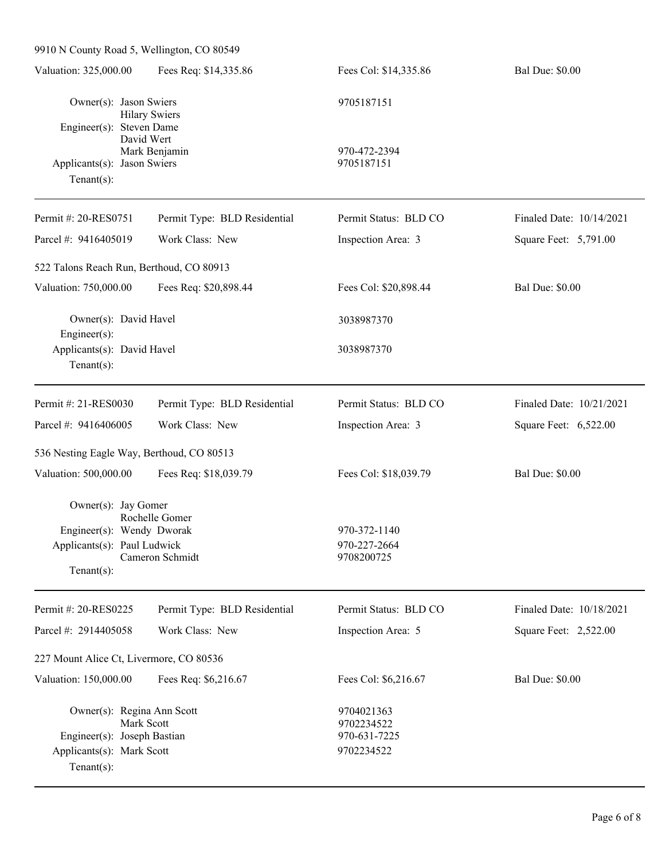| 9910 N County Road 5, Wellington, CO 80549                                              |                              |                                          |                          |
|-----------------------------------------------------------------------------------------|------------------------------|------------------------------------------|--------------------------|
| Valuation: 325,000.00                                                                   | Fees Req: \$14,335.86        | Fees Col: \$14,335.86                    | <b>Bal Due: \$0.00</b>   |
| Owner(s): Jason Swiers                                                                  | <b>Hilary Swiers</b>         | 9705187151                               |                          |
| Engineer(s): Steven Dame<br>David Wert<br>Applicants(s): Jason Swiers<br>Tenant $(s)$ : | Mark Benjamin                | 970-472-2394<br>9705187151               |                          |
| Permit #: 20-RES0751                                                                    | Permit Type: BLD Residential | Permit Status: BLD CO                    | Finaled Date: 10/14/2021 |
| Parcel #: 9416405019                                                                    | Work Class: New              | Inspection Area: 3                       | Square Feet: 5,791.00    |
|                                                                                         |                              |                                          |                          |
| 522 Talons Reach Run, Berthoud, CO 80913                                                |                              |                                          |                          |
| Valuation: 750,000.00                                                                   | Fees Req: \$20,898.44        | Fees Col: \$20,898.44                    | <b>Bal Due: \$0.00</b>   |
| Owner(s): David Havel<br>$Engineering(s)$ :                                             |                              | 3038987370                               |                          |
| Applicants(s): David Havel<br>Tenant $(s)$ :                                            |                              | 3038987370                               |                          |
| Permit #: 21-RES0030                                                                    | Permit Type: BLD Residential | Permit Status: BLD CO                    | Finaled Date: 10/21/2021 |
| Parcel #: 9416406005                                                                    | Work Class: New              | Inspection Area: 3                       | Square Feet: 6,522.00    |
| 536 Nesting Eagle Way, Berthoud, CO 80513                                               |                              |                                          |                          |
| Valuation: 500,000.00                                                                   | Fees Req: \$18,039.79        | Fees Col: \$18,039.79                    | <b>Bal Due: \$0.00</b>   |
| Owner(s): Jay Gomer                                                                     | Rochelle Gomer               |                                          |                          |
| Engineer(s): Wendy Dworak                                                               |                              | 970-372-1140                             |                          |
| Applicants(s): Paul Ludwick                                                             | Cameron Schmidt              | 970-227-2664<br>9708200725               |                          |
| $Tenant(s)$ :                                                                           |                              |                                          |                          |
| Permit #: 20-RES0225                                                                    | Permit Type: BLD Residential | Permit Status: BLD CO                    | Finaled Date: 10/18/2021 |
| Parcel #: 2914405058                                                                    | Work Class: New              | Inspection Area: 5                       | Square Feet: 2,522.00    |
| 227 Mount Alice Ct, Livermore, CO 80536                                                 |                              |                                          |                          |
| Valuation: 150,000.00                                                                   | Fees Req: \$6,216.67         | Fees Col: \$6,216.67                     | <b>Bal Due: \$0.00</b>   |
| Owner(s): Regina Ann Scott<br>Mark Scott                                                |                              | 9704021363<br>9702234522<br>970-631-7225 |                          |
| Engineer(s): Joseph Bastian<br>Applicants(s): Mark Scott<br>Tenant $(s)$ :              |                              | 9702234522                               |                          |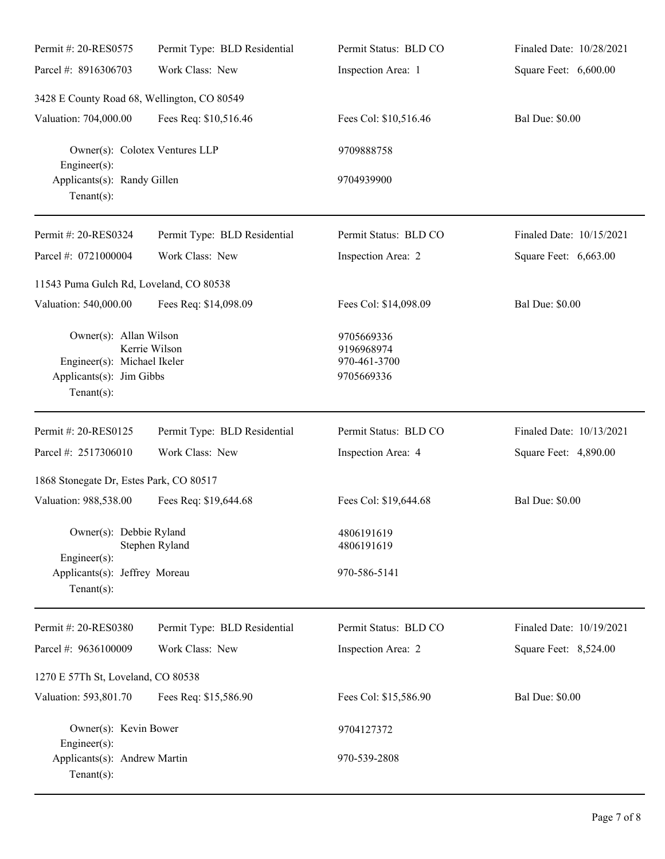| Permit #: 20-RES0575                                                                                                 | Permit Type: BLD Residential | Permit Status: BLD CO                                  | Finaled Date: 10/28/2021 |
|----------------------------------------------------------------------------------------------------------------------|------------------------------|--------------------------------------------------------|--------------------------|
| Parcel #: 8916306703                                                                                                 | Work Class: New              | Inspection Area: 1                                     | Square Feet: 6,600.00    |
| 3428 E County Road 68, Wellington, CO 80549                                                                          |                              |                                                        |                          |
| Valuation: 704,000.00                                                                                                | Fees Req: \$10,516.46        | Fees Col: \$10,516.46                                  | <b>Bal Due: \$0.00</b>   |
| Owner(s): Colotex Ventures LLP                                                                                       |                              | 9709888758                                             |                          |
| $Engineering(s)$ :<br>Applicants(s): Randy Gillen<br>Tenant $(s)$ :                                                  |                              | 9704939900                                             |                          |
| Permit #: 20-RES0324                                                                                                 | Permit Type: BLD Residential | Permit Status: BLD CO                                  | Finaled Date: 10/15/2021 |
| Parcel #: 0721000004                                                                                                 | Work Class: New              | Inspection Area: 2                                     | Square Feet: 6,663.00    |
| 11543 Puma Gulch Rd, Loveland, CO 80538                                                                              |                              |                                                        |                          |
| Valuation: 540,000.00                                                                                                | Fees Req: \$14,098.09        | Fees Col: \$14,098.09                                  | <b>Bal Due: \$0.00</b>   |
| Owner(s): Allan Wilson<br>Kerrie Wilson<br>Engineer(s): Michael Ikeler<br>Applicants(s): Jim Gibbs<br>Tenant $(s)$ : |                              | 9705669336<br>9196968974<br>970-461-3700<br>9705669336 |                          |
|                                                                                                                      |                              |                                                        |                          |
| Permit #: 20-RES0125                                                                                                 | Permit Type: BLD Residential | Permit Status: BLD CO                                  | Finaled Date: 10/13/2021 |
| Parcel #: 2517306010                                                                                                 | Work Class: New              | Inspection Area: 4                                     | Square Feet: 4,890.00    |
| 1868 Stonegate Dr, Estes Park, CO 80517                                                                              |                              |                                                        |                          |
| Valuation: 988,538.00                                                                                                | Fees Req: \$19,644.68        | Fees Col: \$19,644.68                                  | <b>Bal Due: \$0.00</b>   |
| Owner(s): Debbie Ryland                                                                                              | Stephen Ryland               | 4806191619<br>4806191619                               |                          |
| Engineer(s):<br>Applicants(s): Jeffrey Moreau<br>Tenant $(s)$ :                                                      |                              | 970-586-5141                                           |                          |
| Permit #: 20-RES0380                                                                                                 | Permit Type: BLD Residential | Permit Status: BLD CO                                  | Finaled Date: 10/19/2021 |
| Parcel #: 9636100009                                                                                                 | Work Class: New              | Inspection Area: 2                                     | Square Feet: 8,524.00    |
| 1270 E 57Th St, Loveland, CO 80538                                                                                   |                              |                                                        |                          |
| Valuation: 593,801.70                                                                                                | Fees Req: \$15,586.90        | Fees Col: \$15,586.90                                  | <b>Bal Due: \$0.00</b>   |
| Owner(s): Kevin Bower<br>$Engineering(s)$ :                                                                          |                              | 9704127372                                             |                          |